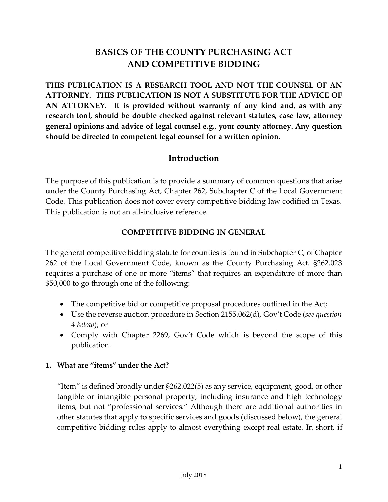# **BASICS OF THE COUNTY PURCHASING ACT AND COMPETITIVE BIDDING**

**THIS PUBLICATION IS A RESEARCH TOOL AND NOT THE COUNSEL OF AN ATTORNEY. THIS PUBLICATION IS NOT A SUBSTITUTE FOR THE ADVICE OF AN ATTORNEY. It is provided without warranty of any kind and, as with any research tool, should be double checked against relevant statutes, case law, attorney general opinions and advice of legal counsel e.g., your county attorney. Any question should be directed to competent legal counsel for a written opinion.**

# **Introduction**

The purpose of this publication is to provide a summary of common questions that arise under the County Purchasing Act, Chapter 262, Subchapter C of the Local Government Code. This publication does not cover every competitive bidding law codified in Texas. This publication is not an all-inclusive reference.

### **COMPETITIVE BIDDING IN GENERAL**

The general competitive bidding statute for counties is found in Subchapter C, of Chapter 262 of the Local Government Code, known as the County Purchasing Act. §262.023 requires a purchase of one or more "items" that requires an expenditure of more than \$50,000 to go through one of the following:

- The competitive bid or competitive proposal procedures outlined in the Act;
- Use the reverse auction procedure in Section 2155.062(d), Gov't Code (*see question 4 below*); or
- Comply with Chapter 2269, Gov't Code which is beyond the scope of this publication.

### **1. What are "items" under the Act?**

"Item" is defined broadly under §262.022(5) as any service, equipment, good, or other tangible or intangible personal property, including insurance and high technology items, but not "professional services." Although there are additional authorities in other statutes that apply to specific services and goods (discussed below), the general competitive bidding rules apply to almost everything except real estate. In short, if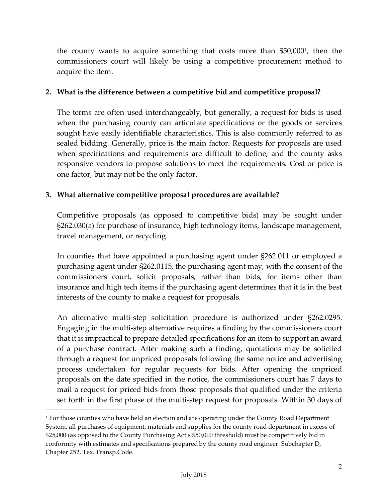the county wants to acquire something that costs more than \$50,000[1](#page-1-0) , then the commissioners court will likely be using a competitive procurement method to acquire the item.

### **2. What is the difference between a competitive bid and competitive proposal?**

The terms are often used interchangeably, but generally, a request for bids is used when the purchasing county can articulate specifications or the goods or services sought have easily identifiable characteristics. This is also commonly referred to as sealed bidding. Generally, price is the main factor. Requests for proposals are used when specifications and requirements are difficult to define, and the county asks responsive vendors to propose solutions to meet the requirements. Cost or price is one factor, but may not be the only factor.

### **3. What alternative competitive proposal procedures are available?**

Competitive proposals (as opposed to competitive bids) may be sought under §262.030(a) for purchase of insurance, high technology items, landscape management, travel management, or recycling.

In counties that have appointed a purchasing agent under §262.011 or employed a purchasing agent under §262.0115, the purchasing agent may, with the consent of the commissioners court, solicit proposals, rather than bids, for items other than insurance and high tech items if the purchasing agent determines that it is in the best interests of the county to make a request for proposals.

An alternative multi-step solicitation procedure is authorized under §262.0295. Engaging in the multi-step alternative requires a finding by the commissioners court that it is impractical to prepare detailed specifications for an item to support an award of a purchase contract. After making such a finding, quotations may be solicited through a request for unpriced proposals following the same notice and advertising process undertaken for regular requests for bids. After opening the unpriced proposals on the date specified in the notice, the commissioners court has 7 days to mail a request for priced bids from those proposals that qualified under the criteria set forth in the first phase of the multi-step request for proposals. Within 30 days of

l

<span id="page-1-0"></span><sup>&</sup>lt;sup>1</sup> For those counties who have held an election and are operating under the County Road Department System, all purchases of equipment, materials and supplies for the county road department in excess of \$25,000 (as opposed to the County Purchasing Act's \$50,000 threshold) must be competitively bid in conformity with estimates and specifications prepared by the county road engineer. Subchapter D, Chapter 252, Tex. Transp.Code.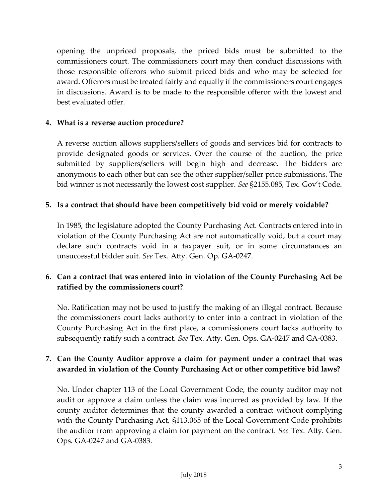opening the unpriced proposals, the priced bids must be submitted to the commissioners court. The commissioners court may then conduct discussions with those responsible offerors who submit priced bids and who may be selected for award. Offerors must be treated fairly and equally if the commissioners court engages in discussions. Award is to be made to the responsible offeror with the lowest and best evaluated offer.

#### **4. What is a reverse auction procedure?**

A reverse auction allows suppliers/sellers of goods and services bid for contracts to provide designated goods or services. Over the course of the auction, the price submitted by suppliers/sellers will begin high and decrease. The bidders are anonymous to each other but can see the other supplier/seller price submissions. The bid winner is not necessarily the lowest cost supplier. *See* §2155.085, Tex. Gov't Code.

#### **5. Is a contract that should have been competitively bid void or merely voidable?**

In 1985, the legislature adopted the County Purchasing Act. Contracts entered into in violation of the County Purchasing Act are not automatically void, but a court may declare such contracts void in a taxpayer suit, or in some circumstances an unsuccessful bidder suit. *See* Tex. Atty. Gen. Op. GA-0247.

## **6. Can a contract that was entered into in violation of the County Purchasing Act be ratified by the commissioners court?**

No. Ratification may not be used to justify the making of an illegal contract. Because the commissioners court lacks authority to enter into a contract in violation of the County Purchasing Act in the first place, a commissioners court lacks authority to subsequently ratify such a contract. *See* Tex. Atty. Gen. Ops. GA-0247 and GA-0383.

## **7. Can the County Auditor approve a claim for payment under a contract that was awarded in violation of the County Purchasing Act or other competitive bid laws?**

No. Under chapter 113 of the Local Government Code, the county auditor may not audit or approve a claim unless the claim was incurred as provided by law. If the county auditor determines that the county awarded a contract without complying with the County Purchasing Act, §113.065 of the Local Government Code prohibits the auditor from approving a claim for payment on the contract. *See* Tex. Atty. Gen. Ops. GA-0247 and GA-0383.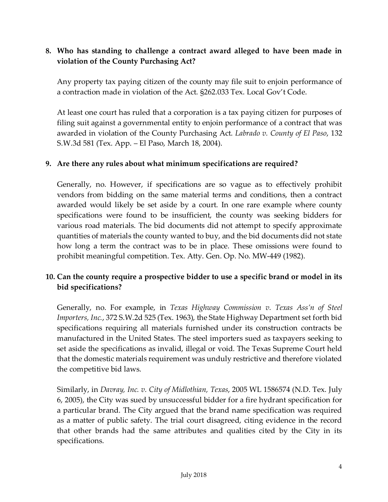## **8. Who has standing to challenge a contract award alleged to have been made in violation of the County Purchasing Act?**

Any property tax paying citizen of the county may file suit to enjoin performance of a contraction made in violation of the Act. §262.033 Tex. Local Gov't Code.

At least one court has ruled that a corporation is a tax paying citizen for purposes of filing suit against a governmental entity to enjoin performance of a contract that was awarded in violation of the County Purchasing Act. *Labrado v. County of El Paso*, 132 S.W.3d 581 (Tex. App. – El Paso, March 18, 2004).

### **9. Are there any rules about what minimum specifications are required?**

Generally, no. However, if specifications are so vague as to effectively prohibit vendors from bidding on the same material terms and conditions, then a contract awarded would likely be set aside by a court. In one rare example where county specifications were found to be insufficient, the county was seeking bidders for various road materials. The bid documents did not attempt to specify approximate quantities of materials the county wanted to buy, and the bid documents did not state how long a term the contract was to be in place. These omissions were found to prohibit meaningful competition. Tex. Atty. Gen. Op. No. MW-449 (1982).

## **10. Can the county require a prospective bidder to use a specific brand or model in its bid specifications?**

Generally, no. For example, in *Texas Highway Commission v. Texas Ass'n of Steel Importers, Inc.*, 372 S.W.2d 525 (Tex. 1963), the State Highway Department set forth bid specifications requiring all materials furnished under its construction contracts be manufactured in the United States. The steel importers sued as taxpayers seeking to set aside the specifications as invalid, illegal or void. The Texas Supreme Court held that the domestic materials requirement was unduly restrictive and therefore violated the competitive bid laws.

Similarly, in *Davray, Inc. v. City of Midlothian, Texas*, 2005 WL 1586574 (N.D. Tex. July 6, 2005), the City was sued by unsuccessful bidder for a fire hydrant specification for a particular brand. The City argued that the brand name specification was required as a matter of public safety. The trial court disagreed, citing evidence in the record that other brands had the same attributes and qualities cited by the City in its specifications.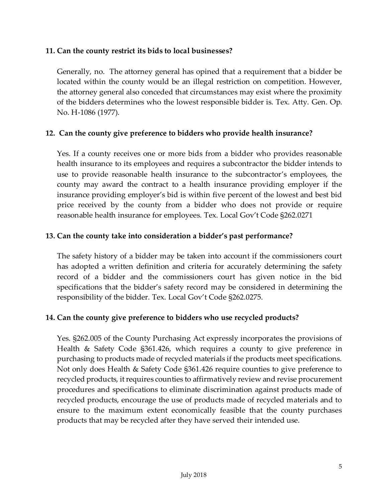#### **11. Can the county restrict its bids to local businesses?**

Generally, no. The attorney general has opined that a requirement that a bidder be located within the county would be an illegal restriction on competition. However, the attorney general also conceded that circumstances may exist where the proximity of the bidders determines who the lowest responsible bidder is. Tex. Atty. Gen. Op. No. H-1086 (1977).

#### **12. Can the county give preference to bidders who provide health insurance?**

Yes. If a county receives one or more bids from a bidder who provides reasonable health insurance to its employees and requires a subcontractor the bidder intends to use to provide reasonable health insurance to the subcontractor's employees, the county may award the contract to a health insurance providing employer if the insurance providing employer's bid is within five percent of the lowest and best bid price received by the county from a bidder who does not provide or require reasonable health insurance for employees. Tex. Local Gov't Code §262.0271

### **13. Can the county take into consideration a bidder's past performance?**

The safety history of a bidder may be taken into account if the commissioners court has adopted a written definition and criteria for accurately determining the safety record of a bidder and the commissioners court has given notice in the bid specifications that the bidder's safety record may be considered in determining the responsibility of the bidder. Tex. Local Gov't Code §262.0275.

### **14. Can the county give preference to bidders who use recycled products?**

Yes. §262.005 of the County Purchasing Act expressly incorporates the provisions of Health & Safety Code §361.426, which requires a county to give preference in purchasing to products made of recycled materials if the products meet specifications. Not only does Health & Safety Code §361.426 require counties to give preference to recycled products, it requires counties to affirmatively review and revise procurement procedures and specifications to eliminate discrimination against products made of recycled products, encourage the use of products made of recycled materials and to ensure to the maximum extent economically feasible that the county purchases products that may be recycled after they have served their intended use.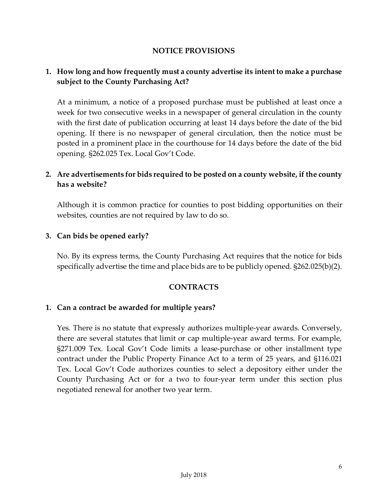#### **NOTICE PROVISIONS**

## **1. How long and how frequently must a county advertise its intent to make a purchase subject to the County Purchasing Act?**

At a minimum, a notice of a proposed purchase must be published at least once a week for two consecutive weeks in a newspaper of general circulation in the county with the first date of publication occurring at least 14 days before the date of the bid opening. If there is no newspaper of general circulation, then the notice must be posted in a prominent place in the courthouse for 14 days before the date of the bid opening. §262.025 Tex. Local Gov't Code.

## **2. Are advertisements for bids required to be posted on a county website, if the county has a website?**

Although it is common practice for counties to post bidding opportunities on their websites, counties are not required by law to do so.

#### **3. Can bids be opened early?**

No. By its express terms, the County Purchasing Act requires that the notice for bids specifically advertise the time and place bids are to be publicly opened. §262.025(b)(2).

#### **CONTRACTS**

#### **1. Can a contract be awarded for multiple years?**

Yes. There is no statute that expressly authorizes multiple-year awards. Conversely, there are several statutes that limit or cap multiple-year award terms. For example, §271.009 Tex. Local Gov't Code limits a lease-purchase or other installment type contract under the Public Property Finance Act to a term of 25 years, and §116.021 Tex. Local Gov't Code authorizes counties to select a depository either under the County Purchasing Act or for a two to four-year term under this section plus negotiated renewal for another two year term.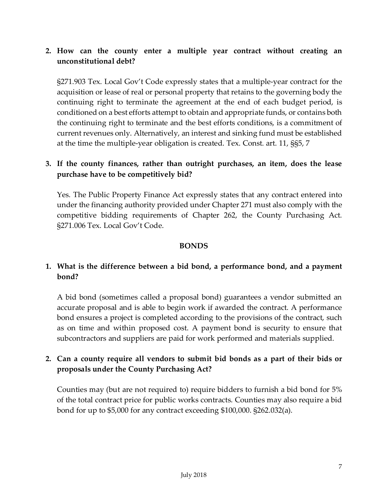## **2. How can the county enter a multiple year contract without creating an unconstitutional debt?**

§271.903 Tex. Local Gov't Code expressly states that a multiple-year contract for the acquisition or lease of real or personal property that retains to the governing body the continuing right to terminate the agreement at the end of each budget period, is conditioned on a best efforts attempt to obtain and appropriate funds, or contains both the continuing right to terminate and the best efforts conditions, is a commitment of current revenues only. Alternatively, an interest and sinking fund must be established at the time the multiple-year obligation is created. Tex. Const. art. 11, §§5, 7

## **3. If the county finances, rather than outright purchases, an item, does the lease purchase have to be competitively bid?**

Yes. The Public Property Finance Act expressly states that any contract entered into under the financing authority provided under Chapter 271 must also comply with the competitive bidding requirements of Chapter 262, the County Purchasing Act. §271.006 Tex. Local Gov't Code.

#### **BONDS**

## **1. What is the difference between a bid bond, a performance bond, and a payment bond?**

A bid bond (sometimes called a proposal bond) guarantees a vendor submitted an accurate proposal and is able to begin work if awarded the contract. A performance bond ensures a project is completed according to the provisions of the contract, such as on time and within proposed cost. A payment bond is security to ensure that subcontractors and suppliers are paid for work performed and materials supplied.

## **2. Can a county require all vendors to submit bid bonds as a part of their bids or proposals under the County Purchasing Act?**

Counties may (but are not required to) require bidders to furnish a bid bond for 5% of the total contract price for public works contracts. Counties may also require a bid bond for up to \$5,000 for any contract exceeding \$100,000. §262.032(a).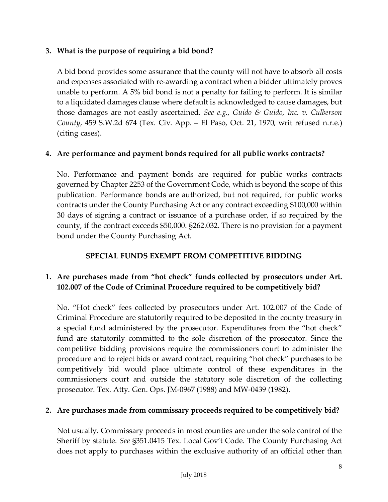## **3. What is the purpose of requiring a bid bond?**

A bid bond provides some assurance that the county will not have to absorb all costs and expenses associated with re-awarding a contract when a bidder ultimately proves unable to perform. A 5% bid bond is not a penalty for failing to perform. It is similar to a liquidated damages clause where default is acknowledged to cause damages, but those damages are not easily ascertained. *See e.g., Guido & Guido, Inc. v. Culberson County*, 459 S.W.2d 674 (Tex. Civ. App. – El Paso, Oct. 21, 1970, writ refused n.r.e.) (citing cases).

## **4. Are performance and payment bonds required for all public works contracts?**

No. Performance and payment bonds are required for public works contracts governed by Chapter 2253 of the Government Code, which is beyond the scope of this publication. Performance bonds are authorized, but not required, for public works contracts under the County Purchasing Act or any contract exceeding \$100,000 within 30 days of signing a contract or issuance of a purchase order, if so required by the county, if the contract exceeds \$50,000. §262.032. There is no provision for a payment bond under the County Purchasing Act.

## **SPECIAL FUNDS EXEMPT FROM COMPETITIVE BIDDING**

# **1. Are purchases made from "hot check" funds collected by prosecutors under Art. 102.007 of the Code of Criminal Procedure required to be competitively bid?**

No. "Hot check" fees collected by prosecutors under Art. 102.007 of the Code of Criminal Procedure are statutorily required to be deposited in the county treasury in a special fund administered by the prosecutor. Expenditures from the "hot check" fund are statutorily committed to the sole discretion of the prosecutor. Since the competitive bidding provisions require the commissioners court to administer the procedure and to reject bids or award contract, requiring "hot check" purchases to be competitively bid would place ultimate control of these expenditures in the commissioners court and outside the statutory sole discretion of the collecting prosecutor. Tex. Atty. Gen. Ops. JM-0967 (1988) and MW-0439 (1982).

# **2. Are purchases made from commissary proceeds required to be competitively bid?**

Not usually. Commissary proceeds in most counties are under the sole control of the Sheriff by statute. *See* §351.0415 Tex. Local Gov't Code. The County Purchasing Act does not apply to purchases within the exclusive authority of an official other than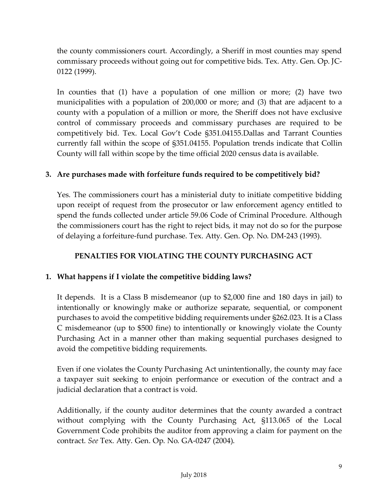the county commissioners court. Accordingly, a Sheriff in most counties may spend commissary proceeds without going out for competitive bids. Tex. Atty. Gen. Op. JC-0122 (1999).

In counties that (1) have a population of one million or more; (2) have two municipalities with a population of 200,000 or more; and (3) that are adjacent to a county with a population of a million or more, the Sheriff does not have exclusive control of commissary proceeds and commissary purchases are required to be competitively bid. Tex. Local Gov't Code §351.04155.Dallas and Tarrant Counties currently fall within the scope of §351.04155. Population trends indicate that Collin County will fall within scope by the time official 2020 census data is available.

## **3. Are purchases made with forfeiture funds required to be competitively bid?**

Yes. The commissioners court has a ministerial duty to initiate competitive bidding upon receipt of request from the prosecutor or law enforcement agency entitled to spend the funds collected under article 59.06 Code of Criminal Procedure. Although the commissioners court has the right to reject bids, it may not do so for the purpose of delaying a forfeiture-fund purchase. Tex. Atty. Gen. Op. No. DM-243 (1993).

## **PENALTIES FOR VIOLATING THE COUNTY PURCHASING ACT**

### **1. What happens if I violate the competitive bidding laws?**

It depends. It is a Class B misdemeanor (up to \$2,000 fine and 180 days in jail) to intentionally or knowingly make or authorize separate, sequential, or component purchases to avoid the competitive bidding requirements under §262.023. It is a Class C misdemeanor (up to \$500 fine) to intentionally or knowingly violate the County Purchasing Act in a manner other than making sequential purchases designed to avoid the competitive bidding requirements.

Even if one violates the County Purchasing Act unintentionally, the county may face a taxpayer suit seeking to enjoin performance or execution of the contract and a judicial declaration that a contract is void.

Additionally, if the county auditor determines that the county awarded a contract without complying with the County Purchasing Act, §113.065 of the Local Government Code prohibits the auditor from approving a claim for payment on the contract. *See* Tex. Atty. Gen. Op. No. GA-0247 (2004).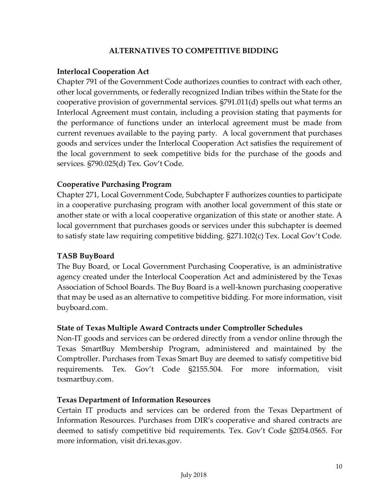### **ALTERNATIVES TO COMPETITIVE BIDDING**

#### **Interlocal Cooperation Act**

Chapter 791 of the Government Code authorizes counties to contract with each other, other local governments, or federally recognized Indian tribes within the State for the cooperative provision of governmental services. §791.011(d) spells out what terms an Interlocal Agreement must contain, including a provision stating that payments for the performance of functions under an interlocal agreement must be made from current revenues available to the paying party. A local government that purchases goods and services under the Interlocal Cooperation Act satisfies the requirement of the local government to seek competitive bids for the purchase of the goods and services. §790.025(d) Tex. Gov't Code.

#### **Cooperative Purchasing Program**

Chapter 271, Local Government Code, Subchapter F authorizes counties to participate in a cooperative purchasing program with another local government of this state or another state or with a local cooperative organization of this state or another state. A local government that purchases goods or services under this subchapter is deemed to satisfy state law requiring competitive bidding. §271.102(c) Tex. Local Gov't Code.

#### **TASB BuyBoard**

The Buy Board, or Local Government Purchasing Cooperative, is an administrative agency created under the Interlocal Cooperation Act and administered by the Texas Association of School Boards. The Buy Board is a well-known purchasing cooperative that may be used as an alternative to competitive bidding. For more information, visit buyboard.com.

### **State of Texas Multiple Award Contracts under Comptroller Schedules**

Non-IT goods and services can be ordered directly from a vendor online through the Texas SmartBuy Membership Program, administered and maintained by the Comptroller. Purchases from Texas Smart Buy are deemed to satisfy competitive bid requirements. Tex. Gov't Code §2155.504. For more information, visit txsmartbuy.com.

#### **Texas Department of Information Resources**

Certain IT products and services can be ordered from the Texas Department of Information Resources. Purchases from DIR's cooperative and shared contracts are deemed to satisfy competitive bid requirements. Tex. Gov't Code §2054.0565. For more information, visit dri.texas.gov.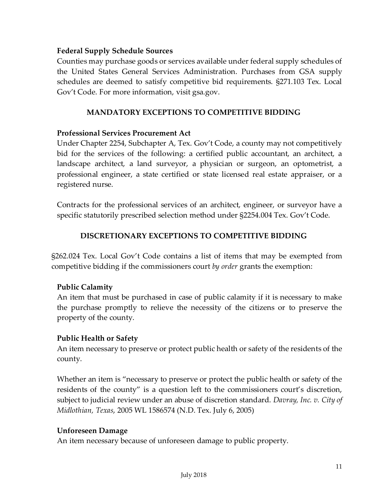### **Federal Supply Schedule Sources**

Counties may purchase goods or services available under federal supply schedules of the United States General Services Administration. Purchases from GSA supply schedules are deemed to satisfy competitive bid requirements. §271.103 Tex. Local Gov't Code. For more information, visit gsa.gov.

#### **MANDATORY EXCEPTIONS TO COMPETITIVE BIDDING**

#### **Professional Services Procurement Act**

Under Chapter 2254, Subchapter A, Tex. Gov't Code, a county may not competitively bid for the services of the following: a certified public accountant, an architect, a landscape architect, a land surveyor, a physician or surgeon, an optometrist, a professional engineer, a state certified or state licensed real estate appraiser, or a registered nurse.

Contracts for the professional services of an architect, engineer, or surveyor have a specific statutorily prescribed selection method under §2254.004 Tex. Gov't Code.

### **DISCRETIONARY EXCEPTIONS TO COMPETITIVE BIDDING**

§262.024 Tex. Local Gov't Code contains a list of items that may be exempted from competitive bidding if the commissioners court *by order* grants the exemption:

#### **Public Calamity**

An item that must be purchased in case of public calamity if it is necessary to make the purchase promptly to relieve the necessity of the citizens or to preserve the property of the county.

#### **Public Health or Safety**

An item necessary to preserve or protect public health or safety of the residents of the county.

Whether an item is "necessary to preserve or protect the public health or safety of the residents of the county" is a question left to the commissioners court's discretion, subject to judicial review under an abuse of discretion standard. *Davray, Inc. v. City of Midlothian, Texas*, 2005 WL 1586574 (N.D. Tex. July 6, 2005)

#### **Unforeseen Damage**

An item necessary because of unforeseen damage to public property.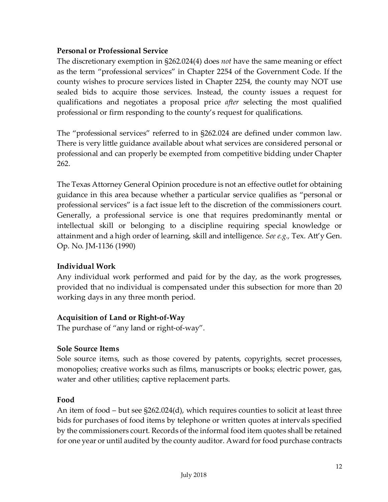## **Personal or Professional Service**

The discretionary exemption in §262.024(4) does *not* have the same meaning or effect as the term "professional services" in Chapter 2254 of the Government Code. If the county wishes to procure services listed in Chapter 2254, the county may NOT use sealed bids to acquire those services. Instead, the county issues a request for qualifications and negotiates a proposal price *after* selecting the most qualified professional or firm responding to the county's request for qualifications.

The "professional services" referred to in §262.024 are defined under common law. There is very little guidance available about what services are considered personal or professional and can properly be exempted from competitive bidding under Chapter 262.

The Texas Attorney General Opinion procedure is not an effective outlet for obtaining guidance in this area because whether a particular service qualifies as "personal or professional services" is a fact issue left to the discretion of the commissioners court. Generally, a professional service is one that requires predominantly mental or intellectual skill or belonging to a discipline requiring special knowledge or attainment and a high order of learning, skill and intelligence. *See e.g.,* Tex. Att'y Gen. Op. No. JM-1136 (1990)

### **Individual Work**

Any individual work performed and paid for by the day, as the work progresses, provided that no individual is compensated under this subsection for more than 20 working days in any three month period.

## **Acquisition of Land or Right-of-Way**

The purchase of "any land or right-of-way".

### **Sole Source Items**

Sole source items, such as those covered by patents, copyrights, secret processes, monopolies; creative works such as films, manuscripts or books; electric power, gas, water and other utilities; captive replacement parts.

### **Food**

An item of food – but see §262.024(d), which requires counties to solicit at least three bids for purchases of food items by telephone or written quotes at intervals specified by the commissioners court. Records of the informal food item quotes shall be retained for one year or until audited by the county auditor. Award for food purchase contracts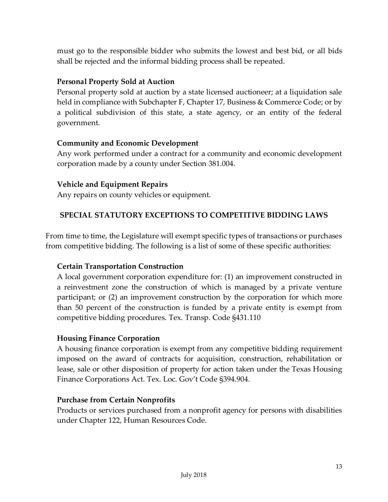must go to the responsible bidder who submits the lowest and best bid, or all bids shall be rejected and the informal bidding process shall be repeated.

### **Personal Property Sold at Auction**

Personal property sold at auction by a state licensed auctioneer; at a liquidation sale held in compliance with Subchapter F, Chapter 17, Business & Commerce Code; or by a political subdivision of this state, a state agency, or an entity of the federal government.

## **Community and Economic Development**

Any work performed under a contract for a community and economic development corporation made by a county under Section 381.004.

## **Vehicle and Equipment Repairs**

Any repairs on county vehicles or equipment.

## **SPECIAL STATUTORY EXCEPTIONS TO COMPETITIVE BIDDING LAWS**

From time to time, the Legislature will exempt specific types of transactions or purchases from competitive bidding. The following is a list of some of these specific authorities:

## **Certain Transportation Construction**

A local government corporation expenditure for: (1) an improvement constructed in a reinvestment zone the construction of which is managed by a private venture participant; or (2) an improvement construction by the corporation for which more than 50 percent of the construction is funded by a private entity is exempt from competitive bidding procedures. Tex. Transp. Code §431.110

### **Housing Finance Corporation**

A housing finance corporation is exempt from any competitive bidding requirement imposed on the award of contracts for acquisition, construction, rehabilitation or lease, sale or other disposition of property for action taken under the Texas Housing Finance Corporations Act. Tex. Loc. Gov't Code §394.904.

### **Purchase from Certain Nonprofits**

Products or services purchased from a nonprofit agency for persons with disabilities under Chapter 122, Human Resources Code.